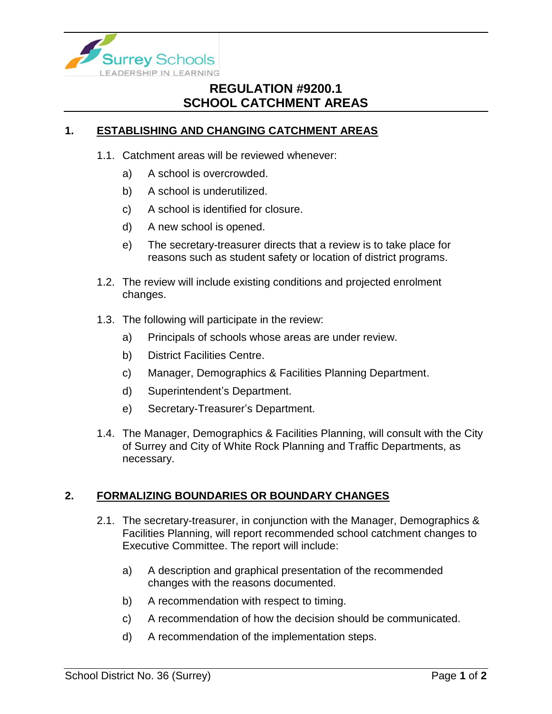

## **REGULATION #9200.1 SCHOOL CATCHMENT AREAS**

## **1. ESTABLISHING AND CHANGING CATCHMENT AREAS**

- 1.1. Catchment areas will be reviewed whenever:
	- a) A school is overcrowded.
	- b) A school is underutilized.
	- c) A school is identified for closure.
	- d) A new school is opened.
	- e) The secretary-treasurer directs that a review is to take place for reasons such as student safety or location of district programs.
- 1.2. The review will include existing conditions and projected enrolment changes.
- 1.3. The following will participate in the review:
	- a) Principals of schools whose areas are under review.
	- b) District Facilities Centre.
	- c) Manager, Demographics & Facilities Planning Department.
	- d) Superintendent's Department.
	- e) Secretary-Treasurer's Department.
- 1.4. The Manager, Demographics & Facilities Planning, will consult with the City of Surrey and City of White Rock Planning and Traffic Departments, as necessary.

## **2. FORMALIZING BOUNDARIES OR BOUNDARY CHANGES**

- 2.1. The secretary-treasurer, in conjunction with the Manager, Demographics & Facilities Planning, will report recommended school catchment changes to Executive Committee. The report will include:
	- a) A description and graphical presentation of the recommended changes with the reasons documented.
	- b) A recommendation with respect to timing.
	- c) A recommendation of how the decision should be communicated.
	- d) A recommendation of the implementation steps.